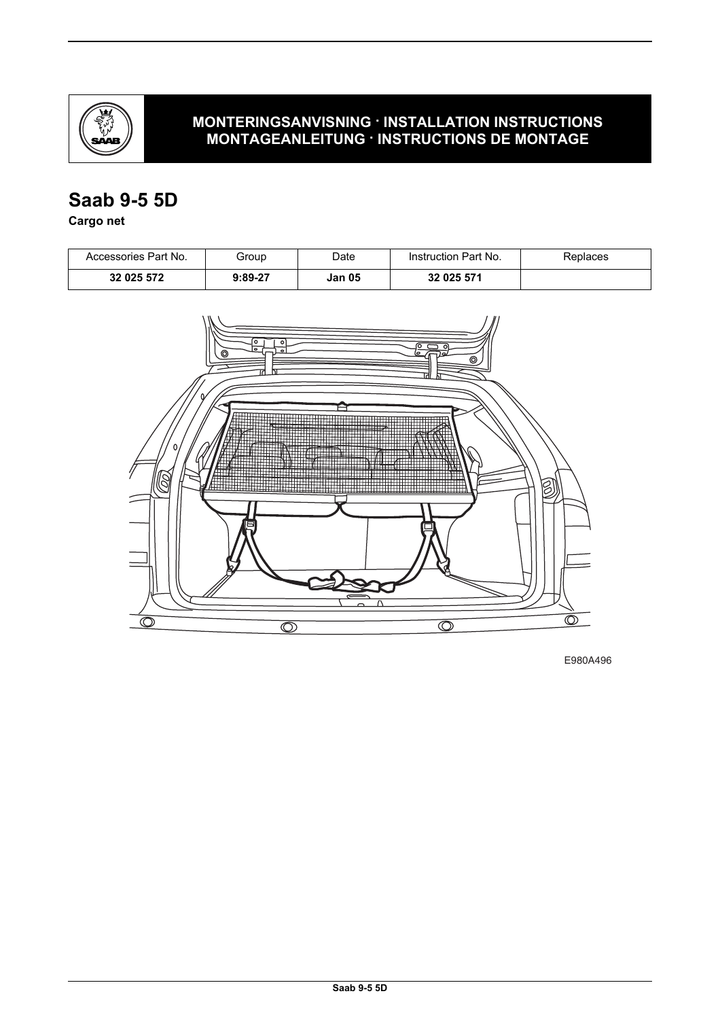

### **MONTERINGSANVISNING · INSTALLATION INSTRUCTIONS MONTAGEANLEITUNG · INSTRUCTIONS DE MONTAGE**

# **Saab 9-5 5D**

**Cargo net**

| Accessories Part No. | Group     | Date   | Instruction Part No. | Replaces |
|----------------------|-----------|--------|----------------------|----------|
| 32 025 572           | $9:89-27$ | Jan 05 | 32 025 571           |          |



E980A496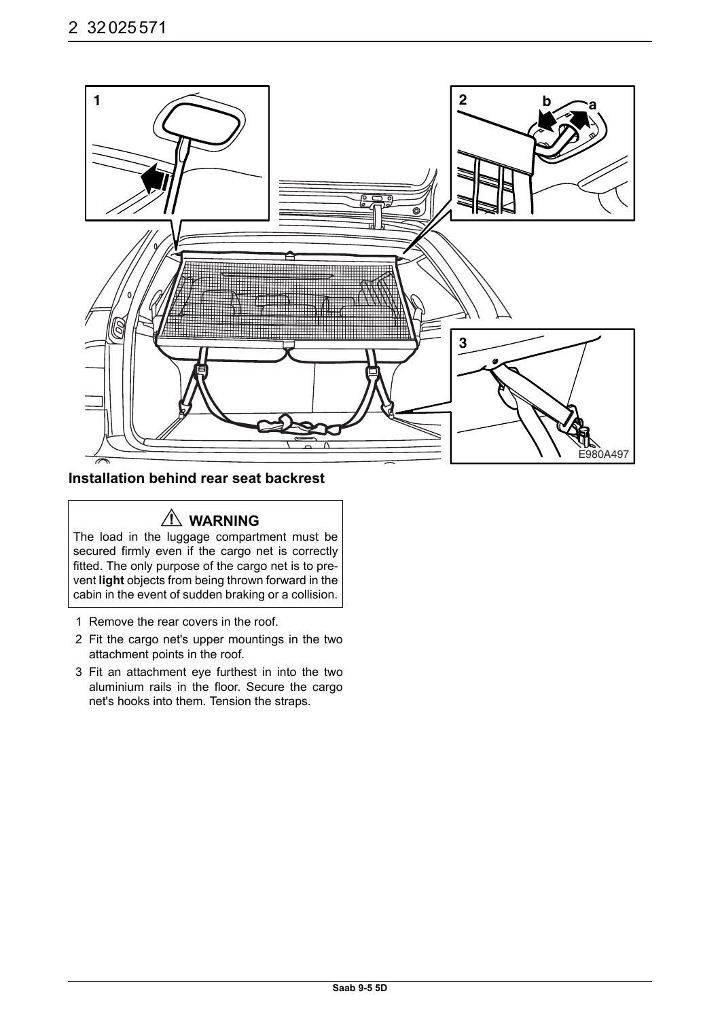

#### **Installation behind rear seat backrest**

# **WARNING**

The load in the luggage compartment must be secured firmly even if the cargo net is correctly fitted. The only purpose of the cargo net is to prevent **light** objects from being thrown forward in the cabin in the event of sudden braking or a collision.

- 1 Remove the rear covers in the roof.
- 2 Fit the cargo net's upper mountings in the two attachment points in the roof.
- 3 Fit an attachment eye furthest in into the two aluminium rails in the floor. Secure the cargo net's hooks into them. Tension the straps.